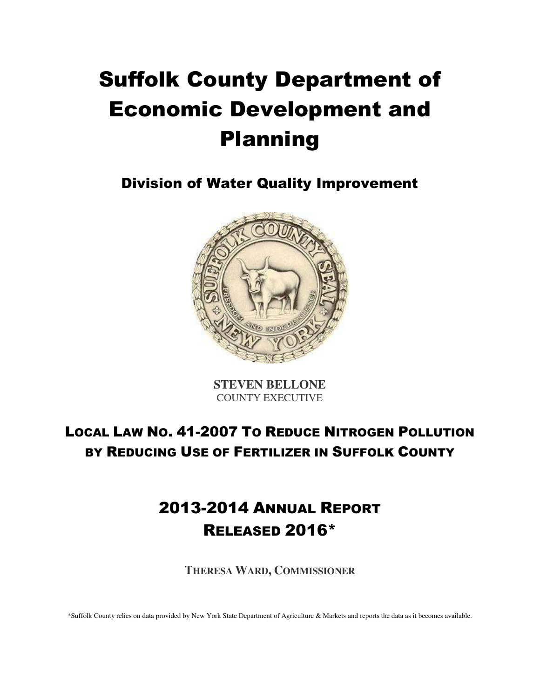# Suffolk County Department of Economic Development and Planning

Division of Water Quality Improvement



**STEVEN BELLONE**  COUNTY EXECUTIVE

# LOCAL LAW NO. 41-2007 TO REDUCE NITROGEN POLLUTION BY REDUCING USE OF FERTILIZER IN SUFFOLK COUNTY

# 2013-2014 ANNUAL REPORT RELEASED 2016\*

**THERESA WARD, COMMISSIONER**

\*Suffolk County relies on data provided by New York State Department of Agriculture & Markets and reports the data as it becomes available.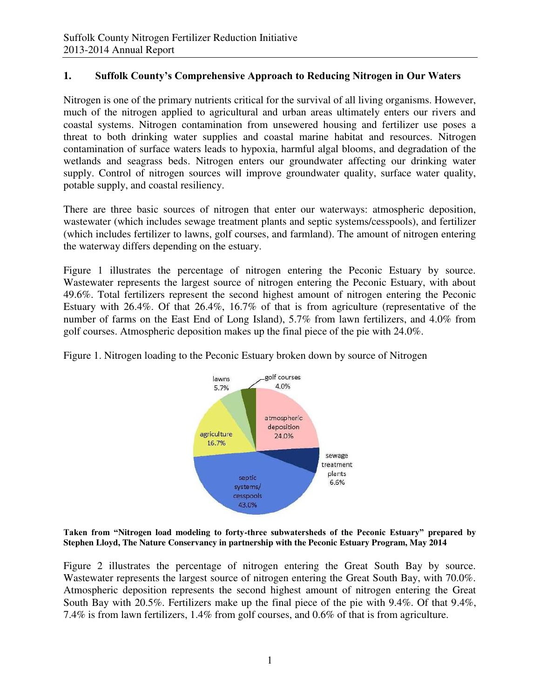## **1. Suffolk County's Comprehensive Approach to Reducing Nitrogen in Our Waters**

Nitrogen is one of the primary nutrients critical for the survival of all living organisms. However, much of the nitrogen applied to agricultural and urban areas ultimately enters our rivers and coastal systems. Nitrogen contamination from unsewered housing and fertilizer use poses a threat to both drinking water supplies and coastal marine habitat and resources. Nitrogen contamination of surface waters leads to hypoxia, harmful algal blooms, and degradation of the wetlands and seagrass beds. Nitrogen enters our groundwater affecting our drinking water supply. Control of nitrogen sources will improve groundwater quality, surface water quality, potable supply, and coastal resiliency.

There are three basic sources of nitrogen that enter our waterways: atmospheric deposition, wastewater (which includes sewage treatment plants and septic systems/cesspools), and fertilizer (which includes fertilizer to lawns, golf courses, and farmland). The amount of nitrogen entering the waterway differs depending on the estuary.

Figure 1 illustrates the percentage of nitrogen entering the Peconic Estuary by source. Wastewater represents the largest source of nitrogen entering the Peconic Estuary, with about 49.6%. Total fertilizers represent the second highest amount of nitrogen entering the Peconic Estuary with 26.4%. Of that 26.4%, 16.7% of that is from agriculture (representative of the number of farms on the East End of Long Island), 5.7% from lawn fertilizers, and 4.0% from golf courses. Atmospheric deposition makes up the final piece of the pie with 24.0%.



Figure 1. Nitrogen loading to the Peconic Estuary broken down by source of Nitrogen

**Taken from "Nitrogen load modeling to forty-three subwatersheds of the Peconic Estuary" prepared by Stephen Lloyd, The Nature Conservancy in partnership with the Peconic Estuary Program, May 2014** 

Figure 2 illustrates the percentage of nitrogen entering the Great South Bay by source. Wastewater represents the largest source of nitrogen entering the Great South Bay, with 70.0%. Atmospheric deposition represents the second highest amount of nitrogen entering the Great South Bay with 20.5%. Fertilizers make up the final piece of the pie with 9.4%. Of that 9.4%, 7.4% is from lawn fertilizers, 1.4% from golf courses, and 0.6% of that is from agriculture.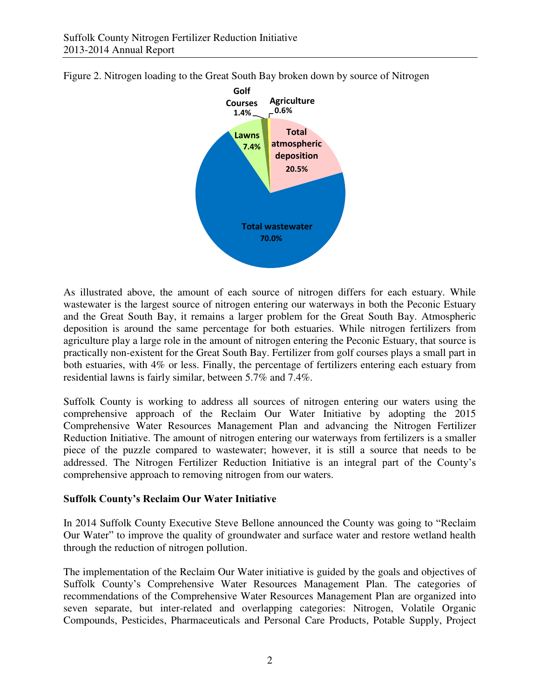



As illustrated above, the amount of each source of nitrogen differs for each estuary. While wastewater is the largest source of nitrogen entering our waterways in both the Peconic Estuary and the Great South Bay, it remains a larger problem for the Great South Bay. Atmospheric deposition is around the same percentage for both estuaries. While nitrogen fertilizers from agriculture play a large role in the amount of nitrogen entering the Peconic Estuary, that source is practically non-existent for the Great South Bay. Fertilizer from golf courses plays a small part in both estuaries, with 4% or less. Finally, the percentage of fertilizers entering each estuary from residential lawns is fairly similar, between 5.7% and 7.4%.

Suffolk County is working to address all sources of nitrogen entering our waters using the comprehensive approach of the Reclaim Our Water Initiative by adopting the 2015 Comprehensive Water Resources Management Plan and advancing the Nitrogen Fertilizer Reduction Initiative. The amount of nitrogen entering our waterways from fertilizers is a smaller piece of the puzzle compared to wastewater; however, it is still a source that needs to be addressed. The Nitrogen Fertilizer Reduction Initiative is an integral part of the County's comprehensive approach to removing nitrogen from our waters.

#### **Suffolk County's Reclaim Our Water Initiative**

In 2014 Suffolk County Executive Steve Bellone announced the County was going to "Reclaim Our Water" to improve the quality of groundwater and surface water and restore wetland health through the reduction of nitrogen pollution.

The implementation of the Reclaim Our Water initiative is guided by the goals and objectives of Suffolk County's Comprehensive Water Resources Management Plan. The categories of recommendations of the Comprehensive Water Resources Management Plan are organized into seven separate, but inter-related and overlapping categories: Nitrogen, Volatile Organic Compounds, Pesticides, Pharmaceuticals and Personal Care Products, Potable Supply, Project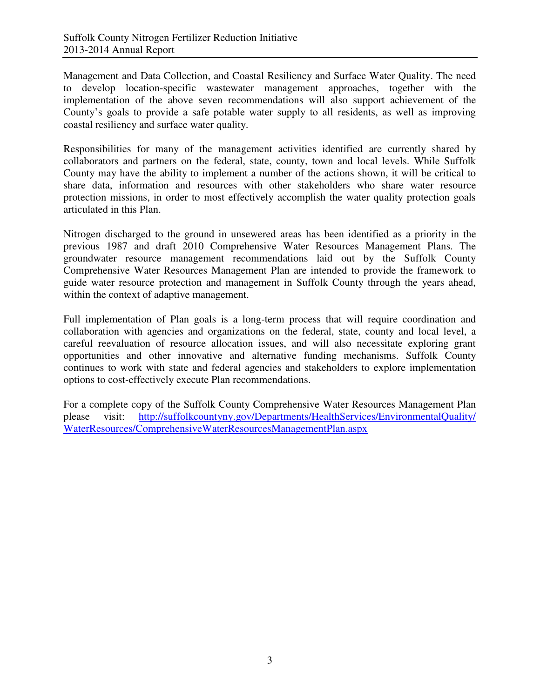Management and Data Collection, and Coastal Resiliency and Surface Water Quality. The need to develop location-specific wastewater management approaches, together with the implementation of the above seven recommendations will also support achievement of the County's goals to provide a safe potable water supply to all residents, as well as improving coastal resiliency and surface water quality.

Responsibilities for many of the management activities identified are currently shared by collaborators and partners on the federal, state, county, town and local levels. While Suffolk County may have the ability to implement a number of the actions shown, it will be critical to share data, information and resources with other stakeholders who share water resource protection missions, in order to most effectively accomplish the water quality protection goals articulated in this Plan.

Nitrogen discharged to the ground in unsewered areas has been identified as a priority in the previous 1987 and draft 2010 Comprehensive Water Resources Management Plans. The groundwater resource management recommendations laid out by the Suffolk County Comprehensive Water Resources Management Plan are intended to provide the framework to guide water resource protection and management in Suffolk County through the years ahead, within the context of adaptive management.

Full implementation of Plan goals is a long-term process that will require coordination and collaboration with agencies and organizations on the federal, state, county and local level, a careful reevaluation of resource allocation issues, and will also necessitate exploring grant opportunities and other innovative and alternative funding mechanisms. Suffolk County continues to work with state and federal agencies and stakeholders to explore implementation options to cost-effectively execute Plan recommendations.

For a complete copy of the Suffolk County Comprehensive Water Resources Management Plan please visit: [http://suffolkcountyny.gov/Departments/HealthServices/EnvironmentalQuality/](http://suffolkcountyny.gov/Departments/HealthServices/EnvironmentalQuality/%20WaterResources/ComprehensiveWaterResourcesManagementPlan.aspx)  [WaterResources/ComprehensiveWaterResourcesManagementPlan.aspx](http://suffolkcountyny.gov/Departments/HealthServices/EnvironmentalQuality/%20WaterResources/ComprehensiveWaterResourcesManagementPlan.aspx)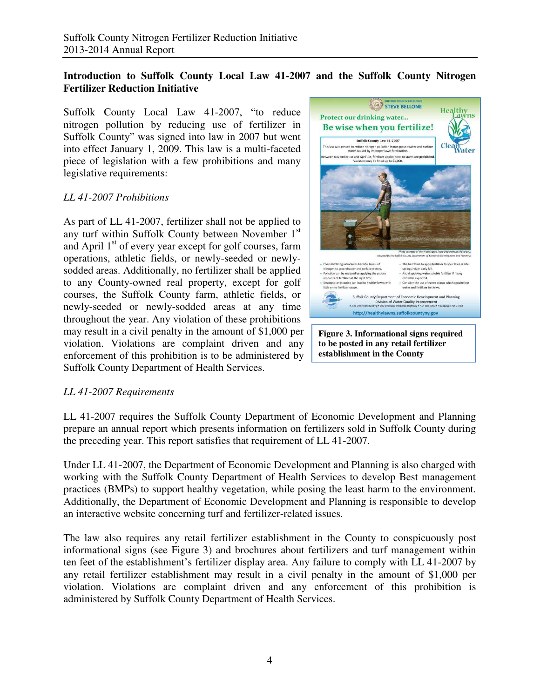## **Introduction to Suffolk County Local Law 41-2007 and the Suffolk County Nitrogen Fertilizer Reduction Initiative**

Suffolk County Local Law 41-2007, "to reduce nitrogen pollution by reducing use of fertilizer in Suffolk County" was signed into law in 2007 but went into effect January 1, 2009. This law is a multi-faceted piece of legislation with a few prohibitions and many legislative requirements:

#### *LL 41-2007 Prohibitions*

As part of LL 41-2007, fertilizer shall not be applied to any turf within Suffolk County between November 1<sup>st</sup> and April  $1<sup>st</sup>$  of every year except for golf courses, farm operations, athletic fields, or newly-seeded or newlysodded areas. Additionally, no fertilizer shall be applied to any County-owned real property, except for golf courses, the Suffolk County farm, athletic fields, or newly-seeded or newly-sodded areas at any time throughout the year. Any violation of these prohibitions may result in a civil penalty in the amount of \$1,000 per violation. Violations are complaint driven and any enforcement of this prohibition is to be administered by Suffolk County Department of Health Services.



**Figure 3. Informational signs required to be posted in any retail fertilizer establishment in the County** 

### *LL 41-2007 Requirements*

LL 41-2007 requires the Suffolk County Department of Economic Development and Planning prepare an annual report which presents information on fertilizers sold in Suffolk County during the preceding year. This report satisfies that requirement of LL 41-2007.

Under LL 41-2007, the Department of Economic Development and Planning is also charged with working with the Suffolk County Department of Health Services to develop Best management practices (BMPs) to support healthy vegetation, while posing the least harm to the environment. Additionally, the Department of Economic Development and Planning is responsible to develop an interactive website concerning turf and fertilizer-related issues.

The law also requires any retail fertilizer establishment in the County to conspicuously post informational signs (see Figure 3) and brochures about fertilizers and turf management within ten feet of the establishment's fertilizer display area. Any failure to comply with LL 41-2007 by any retail fertilizer establishment may result in a civil penalty in the amount of \$1,000 per violation. Violations are complaint driven and any enforcement of this prohibition is administered by Suffolk County Department of Health Services.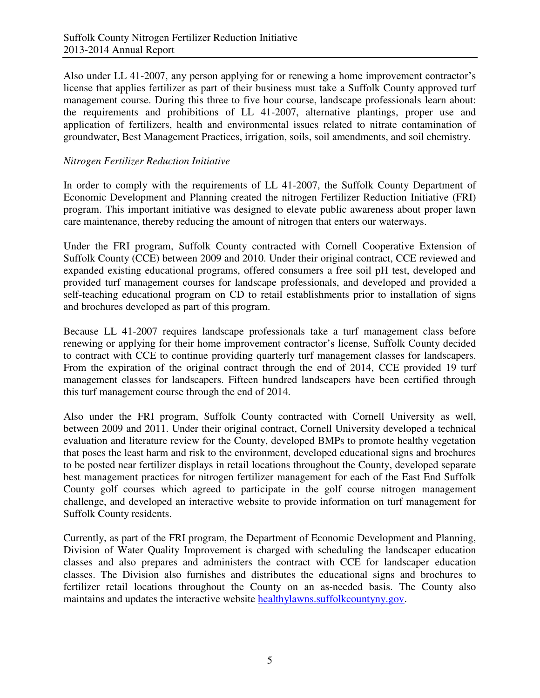Also under LL 41-2007, any person applying for or renewing a home improvement contractor's license that applies fertilizer as part of their business must take a Suffolk County approved turf management course. During this three to five hour course, landscape professionals learn about: the requirements and prohibitions of LL 41-2007, alternative plantings, proper use and application of fertilizers, health and environmental issues related to nitrate contamination of groundwater, Best Management Practices, irrigation, soils, soil amendments, and soil chemistry.

## *Nitrogen Fertilizer Reduction Initiative*

In order to comply with the requirements of LL 41-2007, the Suffolk County Department of Economic Development and Planning created the nitrogen Fertilizer Reduction Initiative (FRI) program. This important initiative was designed to elevate public awareness about proper lawn care maintenance, thereby reducing the amount of nitrogen that enters our waterways.

Under the FRI program, Suffolk County contracted with Cornell Cooperative Extension of Suffolk County (CCE) between 2009 and 2010. Under their original contract, CCE reviewed and expanded existing educational programs, offered consumers a free soil pH test, developed and provided turf management courses for landscape professionals, and developed and provided a self-teaching educational program on CD to retail establishments prior to installation of signs and brochures developed as part of this program.

Because LL 41-2007 requires landscape professionals take a turf management class before renewing or applying for their home improvement contractor's license, Suffolk County decided to contract with CCE to continue providing quarterly turf management classes for landscapers. From the expiration of the original contract through the end of 2014, CCE provided 19 turf management classes for landscapers. Fifteen hundred landscapers have been certified through this turf management course through the end of 2014.

Also under the FRI program, Suffolk County contracted with Cornell University as well, between 2009 and 2011. Under their original contract, Cornell University developed a technical evaluation and literature review for the County, developed BMPs to promote healthy vegetation that poses the least harm and risk to the environment, developed educational signs and brochures to be posted near fertilizer displays in retail locations throughout the County, developed separate best management practices for nitrogen fertilizer management for each of the East End Suffolk County golf courses which agreed to participate in the golf course nitrogen management challenge, and developed an interactive website to provide information on turf management for Suffolk County residents.

Currently, as part of the FRI program, the Department of Economic Development and Planning, Division of Water Quality Improvement is charged with scheduling the landscaper education classes and also prepares and administers the contract with CCE for landscaper education classes. The Division also furnishes and distributes the educational signs and brochures to fertilizer retail locations throughout the County on an as-needed basis. The County also maintains and updates the interactive website [healthylawns.suffolkcountyny.gov.](http://healthylawns.suffolkcountyny.gov/)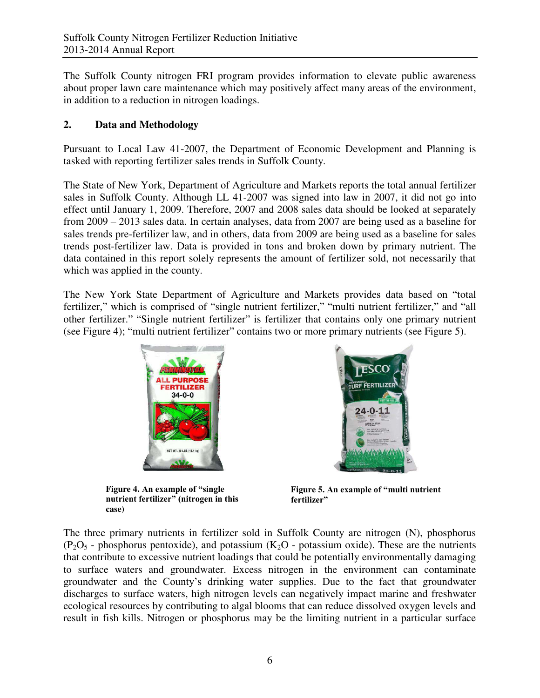The Suffolk County nitrogen FRI program provides information to elevate public awareness about proper lawn care maintenance which may positively affect many areas of the environment, in addition to a reduction in nitrogen loadings.

# **2. Data and Methodology**

Pursuant to Local Law 41-2007, the Department of Economic Development and Planning is tasked with reporting fertilizer sales trends in Suffolk County.

The State of New York, Department of Agriculture and Markets reports the total annual fertilizer sales in Suffolk County. Although LL 41-2007 was signed into law in 2007, it did not go into effect until January 1, 2009. Therefore, 2007 and 2008 sales data should be looked at separately from 2009 – 2013 sales data. In certain analyses, data from 2007 are being used as a baseline for sales trends pre-fertilizer law, and in others, data from 2009 are being used as a baseline for sales trends post-fertilizer law. Data is provided in tons and broken down by primary nutrient. The data contained in this report solely represents the amount of fertilizer sold, not necessarily that which was applied in the county.

The New York State Department of Agriculture and Markets provides data based on "total fertilizer," which is comprised of "single nutrient fertilizer," "multi nutrient fertilizer," and "all other fertilizer." "Single nutrient fertilizer" is fertilizer that contains only one primary nutrient (see Figure 4); "multi nutrient fertilizer" contains two or more primary nutrients (see Figure 5).



**Figure 4. An example of "single nutrient fertilizer" (nitrogen in this case)** 



**Figure 5. An example of "multi nutrient fertilizer"**

The three primary nutrients in fertilizer sold in Suffolk County are nitrogen (N), phosphorus  $(P_2O_5$  - phosphorus pentoxide), and potassium  $(K_2O)$  - potassium oxide). These are the nutrients that contribute to excessive nutrient loadings that could be potentially environmentally damaging to surface waters and groundwater. Excess nitrogen in the environment can contaminate groundwater and the County's drinking water supplies. Due to the fact that groundwater discharges to surface waters, high nitrogen levels can negatively impact marine and freshwater ecological resources by contributing to algal blooms that can reduce dissolved oxygen levels and result in fish kills. Nitrogen or phosphorus may be the limiting nutrient in a particular surface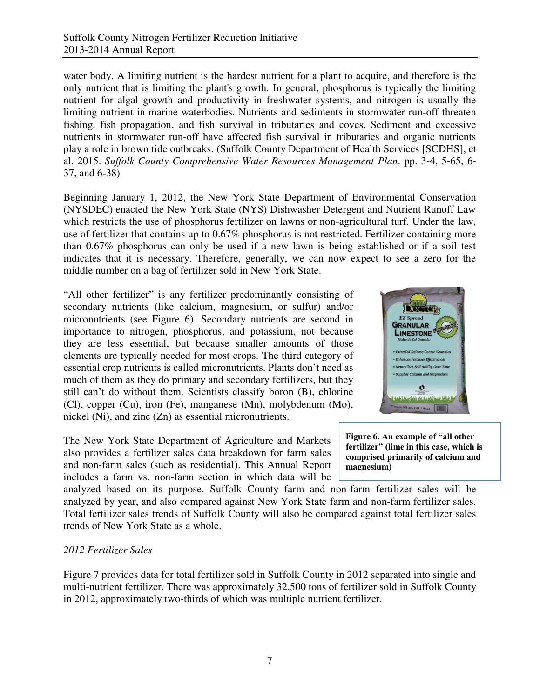water body. A limiting nutrient is the hardest nutrient for a plant to acquire, and therefore is the only nutrient that is limiting the plant's growth. In general, phosphorus is typically the limiting nutrient for algal growth and productivity in freshwater systems, and nitrogen is usually the limiting nutrient in marine waterbodies. Nutrients and sediments in stormwater run-off threaten fishing, fish propagation, and fish survival in tributaries and coves. Sediment and excessive nutrients in stormwater run-off have affected fish survival in tributaries and organic nutrients play a role in brown tide outbreaks. (Suffolk County Department of Health Services [SCDHS], et al. 2015. *Suffolk County Comprehensive Water Resources Management Plan*. pp. 3-4, 5-65, 6- 37, and 6-38)

Beginning January 1, 2012, the New York State Department of Environmental Conservation (NYSDEC) enacted the New York State (NYS) Dishwasher Detergent and Nutrient Runoff Law which restricts the use of phosphorus fertilizer on lawns or non-agricultural turf. Under the law, use of fertilizer that contains up to 0.67% phosphorus is not restricted. Fertilizer containing more than 0.67% phosphorus can only be used if a new lawn is being established or if a soil test indicates that it is necessary. Therefore, generally, we can now expect to see a zero for the middle number on a bag of fertilizer sold in New York State.

"All other fertilizer" is any fertilizer predominantly consisting of secondary nutrients (like calcium, magnesium, or sulfur) and/or micronutrients (see Figure 6). Secondary nutrients are second in importance to nitrogen, phosphorus, and potassium, not because they are less essential, but because smaller amounts of those elements are typically needed for most crops. The third category of essential crop nutrients is called micronutrients. Plants don't need as much of them as they do primary and secondary fertilizers, but they still can't do without them. Scientists classify boron (B), chlorine (Cl), copper (Cu), iron (Fe), manganese (Mn), molybdenum (Mo), nickel (Ni), and zinc (Zn) as essential micronutrients.

The New York State Department of Agriculture and Markets also provides a fertilizer sales data breakdown for farm sales and non-farm sales (such as residential). This Annual Report includes a farm vs. non-farm section in which data will be



**Figure 6. An example of "all other fertilizer" (lime in this case, which is comprised primarily of calcium and magnesium)** 

analyzed based on its purpose. Suffolk County farm and non-farm fertilizer sales will be analyzed by year, and also compared against New York State farm and non-farm fertilizer sales. Total fertilizer sales trends of Suffolk County will also be compared against total fertilizer sales trends of New York State as a whole.

### *2012 Fertilizer Sales*

Figure 7 provides data for total fertilizer sold in Suffolk County in 2012 separated into single and multi-nutrient fertilizer. There was approximately 32,500 tons of fertilizer sold in Suffolk County in 2012, approximately two-thirds of which was multiple nutrient fertilizer.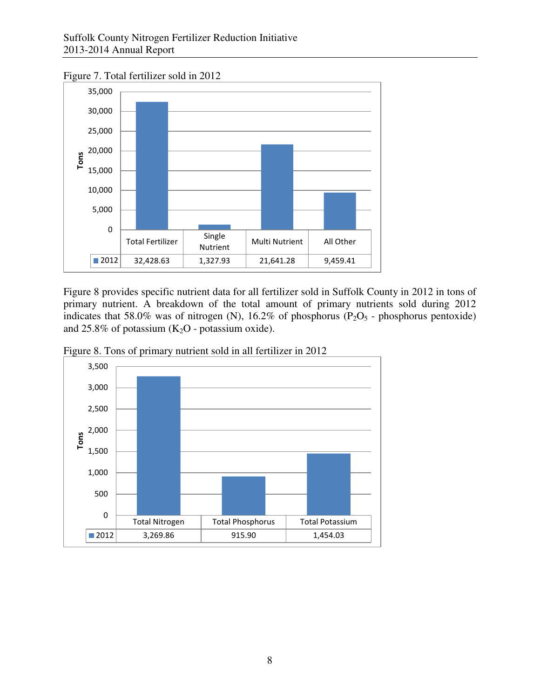Figure 7. Total fertilizer sold in 2012



Figure 8 provides specific nutrient data for all fertilizer sold in Suffolk County in 2012 in tons of primary nutrient. A breakdown of the total amount of primary nutrients sold during 2012 indicates that 58.0% was of nitrogen (N), 16.2% of phosphorus ( $P_2O_5$  - phosphorus pentoxide) and 25.8% of potassium  $(K_2O - \text{potassium oxide}).$ 



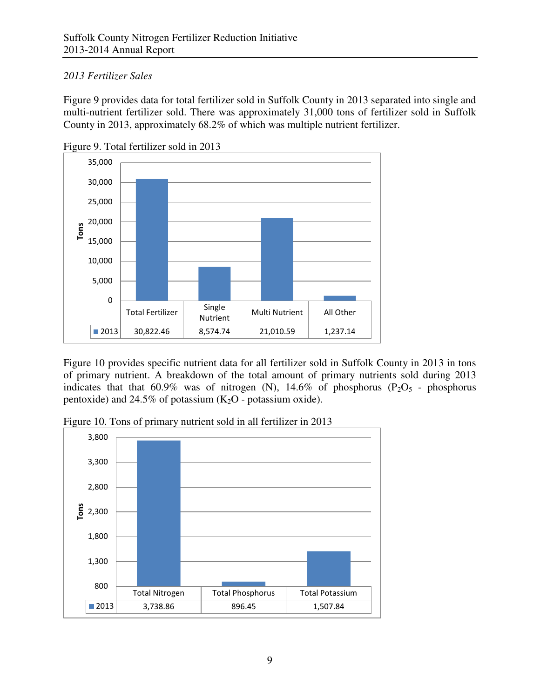# *2013 Fertilizer Sales*

Figure 9 provides data for total fertilizer sold in Suffolk County in 2013 separated into single and multi-nutrient fertilizer sold. There was approximately 31,000 tons of fertilizer sold in Suffolk County in 2013, approximately 68.2% of which was multiple nutrient fertilizer.



Figure 9. Total fertilizer sold in 2013

Figure 10 provides specific nutrient data for all fertilizer sold in Suffolk County in 2013 in tons of primary nutrient. A breakdown of the total amount of primary nutrients sold during 2013 indicates that that 60.9% was of nitrogen (N),  $14.6\%$  of phosphorus (P<sub>2</sub>O<sub>5</sub> - phosphorus pentoxide) and 24.5% of potassium  $(K_2O - \text{potassium oxide})$ .



Figure 10. Tons of primary nutrient sold in all fertilizer in 2013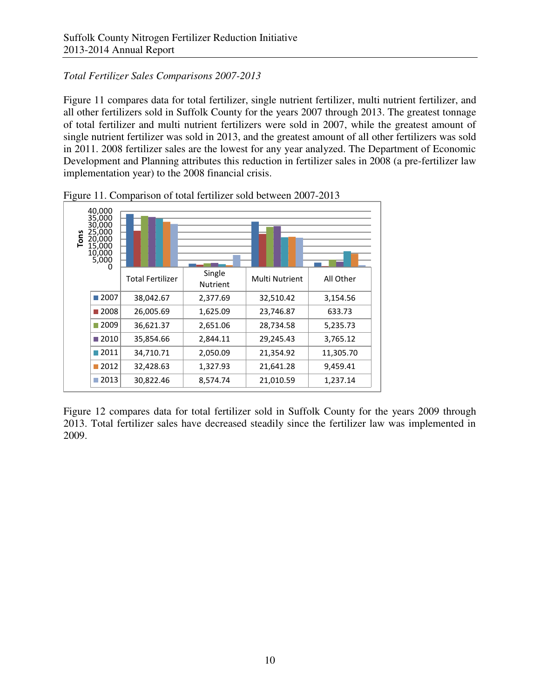# *Total Fertilizer Sales Comparisons 2007-2013*

Figure 11 compares data for total fertilizer, single nutrient fertilizer, multi nutrient fertilizer, and all other fertilizers sold in Suffolk County for the years 2007 through 2013. The greatest tonnage of total fertilizer and multi nutrient fertilizers were sold in 2007, while the greatest amount of single nutrient fertilizer was sold in 2013, and the greatest amount of all other fertilizers was sold in 2011. 2008 fertilizer sales are the lowest for any year analyzed. The Department of Economic Development and Planning attributes this reduction in fertilizer sales in 2008 (a pre-fertilizer law implementation year) to the 2008 financial crisis.



Figure 11. Comparison of total fertilizer sold between 2007-2013

Figure 12 compares data for total fertilizer sold in Suffolk County for the years 2009 through 2013. Total fertilizer sales have decreased steadily since the fertilizer law was implemented in 2009.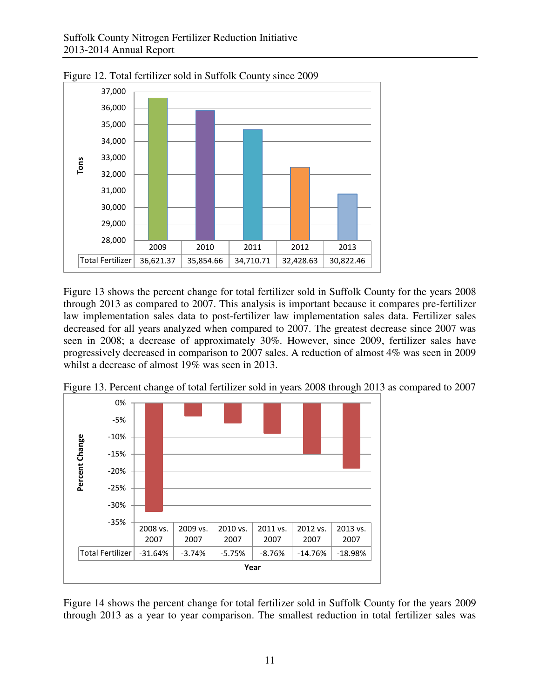

Figure 12. Total fertilizer sold in Suffolk County since 2009

Figure 13 shows the percent change for total fertilizer sold in Suffolk County for the years 2008 through 2013 as compared to 2007. This analysis is important because it compares pre-fertilizer law implementation sales data to post-fertilizer law implementation sales data. Fertilizer sales decreased for all years analyzed when compared to 2007. The greatest decrease since 2007 was seen in 2008; a decrease of approximately 30%. However, since 2009, fertilizer sales have progressively decreased in comparison to 2007 sales. A reduction of almost 4% was seen in 2009 whilst a decrease of almost 19% was seen in 2013.



Figure 13. Percent change of total fertilizer sold in years 2008 through 2013 as compared to 2007

Figure 14 shows the percent change for total fertilizer sold in Suffolk County for the years 2009 through 2013 as a year to year comparison. The smallest reduction in total fertilizer sales was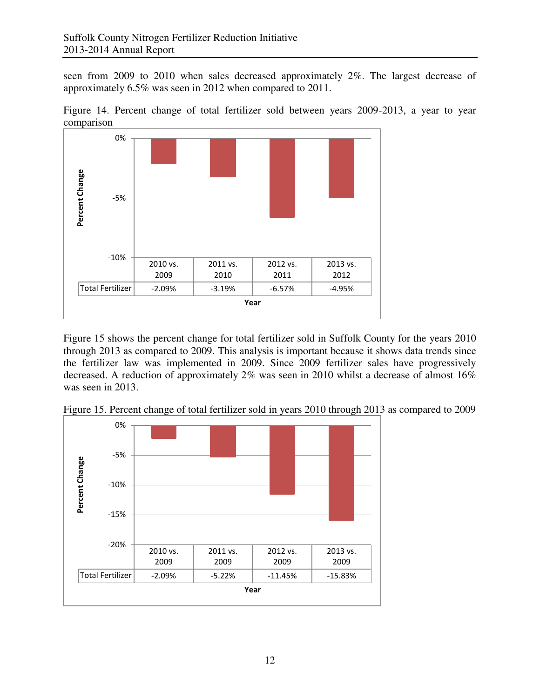seen from 2009 to 2010 when sales decreased approximately 2%. The largest decrease of approximately 6.5% was seen in 2012 when compared to 2011.





Figure 15 shows the percent change for total fertilizer sold in Suffolk County for the years 2010 through 2013 as compared to 2009. This analysis is important because it shows data trends since the fertilizer law was implemented in 2009. Since 2009 fertilizer sales have progressively decreased. A reduction of approximately 2% was seen in 2010 whilst a decrease of almost 16% was seen in 2013.



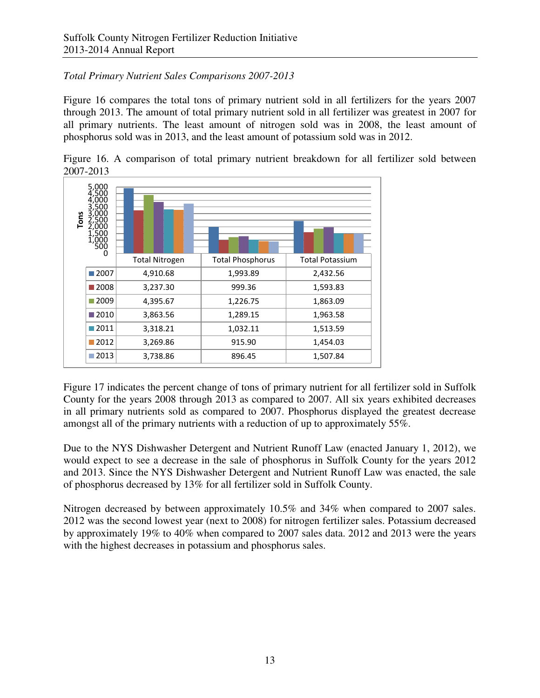# *Total Primary Nutrient Sales Comparisons 2007-2013*

Figure 16 compares the total tons of primary nutrient sold in all fertilizers for the years 2007 through 2013. The amount of total primary nutrient sold in all fertilizer was greatest in 2007 for all primary nutrients. The least amount of nitrogen sold was in 2008, the least amount of phosphorus sold was in 2013, and the least amount of potassium sold was in 2012.



Figure 16. A comparison of total primary nutrient breakdown for all fertilizer sold between 2007-2013

Figure 17 indicates the percent change of tons of primary nutrient for all fertilizer sold in Suffolk County for the years 2008 through 2013 as compared to 2007. All six years exhibited decreases in all primary nutrients sold as compared to 2007. Phosphorus displayed the greatest decrease amongst all of the primary nutrients with a reduction of up to approximately 55%.

Due to the NYS Dishwasher Detergent and Nutrient Runoff Law (enacted January 1, 2012), we would expect to see a decrease in the sale of phosphorus in Suffolk County for the years 2012 and 2013. Since the NYS Dishwasher Detergent and Nutrient Runoff Law was enacted, the sale of phosphorus decreased by 13% for all fertilizer sold in Suffolk County.

Nitrogen decreased by between approximately 10.5% and 34% when compared to 2007 sales. 2012 was the second lowest year (next to 2008) for nitrogen fertilizer sales. Potassium decreased by approximately 19% to 40% when compared to 2007 sales data. 2012 and 2013 were the years with the highest decreases in potassium and phosphorus sales.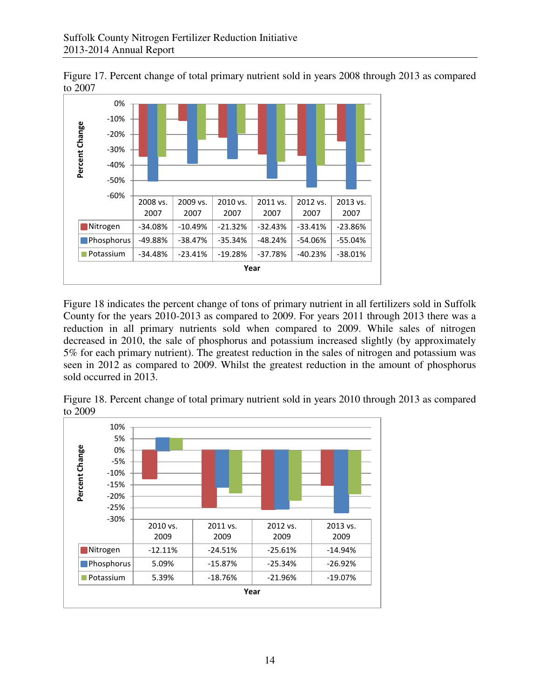Figure 17. Percent change of total primary nutrient sold in years 2008 through 2013 as compared to 2007



Figure 18 indicates the percent change of tons of primary nutrient in all fertilizers sold in Suffolk County for the years 2010-2013 as compared to 2009. For years 2011 through 2013 there was a reduction in all primary nutrients sold when compared to 2009. While sales of nitrogen decreased in 2010, the sale of phosphorus and potassium increased slightly (by approximately 5% for each primary nutrient). The greatest reduction in the sales of nitrogen and potassium was seen in 2012 as compared to 2009. Whilst the greatest reduction in the amount of phosphorus sold occurred in 2013.



Figure 18. Percent change of total primary nutrient sold in years 2010 through 2013 as compared to 2009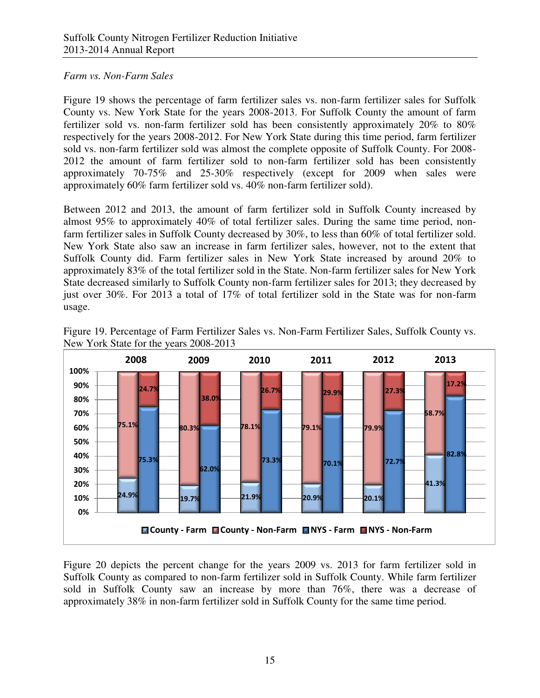## *Farm vs. Non-Farm Sales*

Figure 19 shows the percentage of farm fertilizer sales vs. non-farm fertilizer sales for Suffolk County vs. New York State for the years 2008-2013. For Suffolk County the amount of farm fertilizer sold vs. non-farm fertilizer sold has been consistently approximately 20% to 80% respectively for the years 2008-2012. For New York State during this time period, farm fertilizer sold vs. non-farm fertilizer sold was almost the complete opposite of Suffolk County. For 2008- 2012 the amount of farm fertilizer sold to non-farm fertilizer sold has been consistently approximately 70-75% and 25-30% respectively (except for 2009 when sales were approximately 60% farm fertilizer sold vs. 40% non-farm fertilizer sold).

Between 2012 and 2013, the amount of farm fertilizer sold in Suffolk County increased by almost 95% to approximately 40% of total fertilizer sales. During the same time period, nonfarm fertilizer sales in Suffolk County decreased by 30%, to less than 60% of total fertilizer sold. New York State also saw an increase in farm fertilizer sales, however, not to the extent that Suffolk County did. Farm fertilizer sales in New York State increased by around 20% to approximately 83% of the total fertilizer sold in the State. Non-farm fertilizer sales for New York State decreased similarly to Suffolk County non-farm fertilizer sales for 2013; they decreased by just over 30%. For 2013 a total of 17% of total fertilizer sold in the State was for non-farm usage.



Figure 19. Percentage of Farm Fertilizer Sales vs. Non-Farm Fertilizer Sales, Suffolk County vs. New York State for the years 2008-2013

Figure 20 depicts the percent change for the years 2009 vs. 2013 for farm fertilizer sold in Suffolk County as compared to non-farm fertilizer sold in Suffolk County. While farm fertilizer sold in Suffolk County saw an increase by more than 76%, there was a decrease of approximately 38% in non-farm fertilizer sold in Suffolk County for the same time period.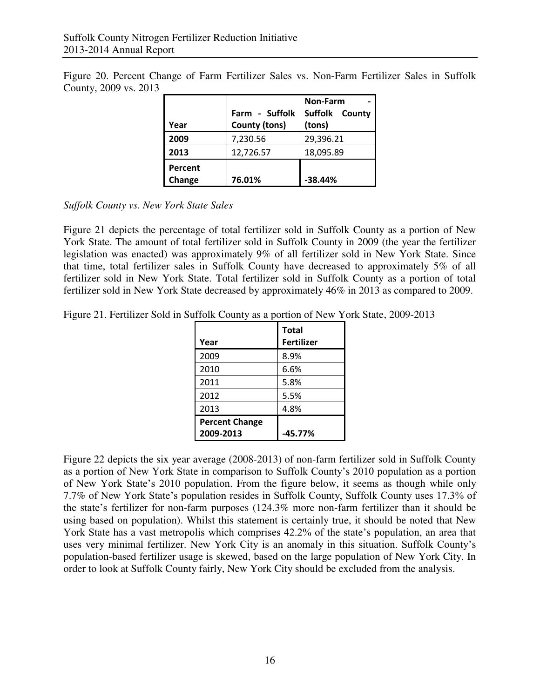Figure 20. Percent Change of Farm Fertilizer Sales vs. Non-Farm Fertilizer Sales in Suffolk County, 2009 vs. 2013

| Year              | Farm - Suffolk<br><b>County (tons)</b> | <b>Non-Farm</b><br>Suffolk County<br>(tons) |
|-------------------|----------------------------------------|---------------------------------------------|
| 2009              | 7,230.56                               | 29,396.21                                   |
| 2013              | 12,726.57                              | 18,095.89                                   |
| Percent<br>Change | 76.01%                                 | $-38.44%$                                   |

*Suffolk County vs. New York State Sales* 

Figure 21 depicts the percentage of total fertilizer sold in Suffolk County as a portion of New York State. The amount of total fertilizer sold in Suffolk County in 2009 (the year the fertilizer legislation was enacted) was approximately 9% of all fertilizer sold in New York State. Since that time, total fertilizer sales in Suffolk County have decreased to approximately 5% of all fertilizer sold in New York State. Total fertilizer sold in Suffolk County as a portion of total fertilizer sold in New York State decreased by approximately 46% in 2013 as compared to 2009.

Figure 21. Fertilizer Sold in Suffolk County as a portion of New York State, 2009-2013

|                       | <b>Total</b>      |
|-----------------------|-------------------|
| Year                  | <b>Fertilizer</b> |
| 2009                  | 8.9%              |
| 2010                  | 6.6%              |
| 2011                  | 5.8%              |
| 2012                  | 5.5%              |
| 2013                  | 4.8%              |
| <b>Percent Change</b> |                   |
| 2009-2013             | -45.77%           |

Figure 22 depicts the six year average (2008-2013) of non-farm fertilizer sold in Suffolk County as a portion of New York State in comparison to Suffolk County's 2010 population as a portion of New York State's 2010 population. From the figure below, it seems as though while only 7.7% of New York State's population resides in Suffolk County, Suffolk County uses 17.3% of the state's fertilizer for non-farm purposes (124.3% more non-farm fertilizer than it should be using based on population). Whilst this statement is certainly true, it should be noted that New York State has a vast metropolis which comprises 42.2% of the state's population, an area that uses very minimal fertilizer. New York City is an anomaly in this situation. Suffolk County's population-based fertilizer usage is skewed, based on the large population of New York City. In order to look at Suffolk County fairly, New York City should be excluded from the analysis.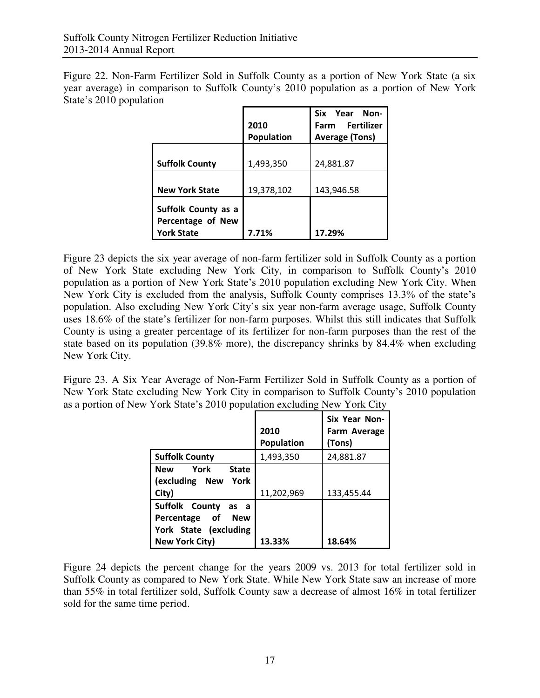Figure 22. Non-Farm Fertilizer Sold in Suffolk County as a portion of New York State (a six year average) in comparison to Suffolk County's 2010 population as a portion of New York State's 2010 population

|                       |            | Six Year Non-         |  |  |  |
|-----------------------|------------|-----------------------|--|--|--|
|                       | 2010       | Farm Fertilizer       |  |  |  |
|                       | Population | <b>Average (Tons)</b> |  |  |  |
|                       |            |                       |  |  |  |
| <b>Suffolk County</b> | 1,493,350  | 24,881.87             |  |  |  |
|                       |            |                       |  |  |  |
| <b>New York State</b> | 19,378,102 | 143,946.58            |  |  |  |
| Suffolk County as a   |            |                       |  |  |  |
| Percentage of New     |            |                       |  |  |  |
| <b>York State</b>     | 7.71%      | 17.29%                |  |  |  |
|                       |            |                       |  |  |  |

Figure 23 depicts the six year average of non-farm fertilizer sold in Suffolk County as a portion of New York State excluding New York City, in comparison to Suffolk County's 2010 population as a portion of New York State's 2010 population excluding New York City. When New York City is excluded from the analysis, Suffolk County comprises 13.3% of the state's population. Also excluding New York City's six year non-farm average usage, Suffolk County uses 18.6% of the state's fertilizer for non-farm purposes. Whilst this still indicates that Suffolk County is using a greater percentage of its fertilizer for non-farm purposes than the rest of the state based on its population (39.8% more), the discrepancy shrinks by 84.4% when excluding New York City.

Figure 23. A Six Year Average of Non-Farm Fertilizer Sold in Suffolk County as a portion of New York State excluding New York City in comparison to Suffolk County's 2010 population as a portion of New York State's 2010 population excluding New York City

|                          |                   | <b>Six Year Non-</b> |
|--------------------------|-------------------|----------------------|
|                          | 2010              | Farm Average         |
|                          | <b>Population</b> | (Tons)               |
| <b>Suffolk County</b>    | 1,493,350         | 24,881.87            |
| New York<br><b>State</b> |                   |                      |
| (excluding New York      |                   |                      |
| City)                    | 11,202,969        | 133,455.44           |
| Suffolk County<br>as a   |                   |                      |
| Percentage of New        |                   |                      |
| York State (excluding    |                   |                      |
| <b>New York City)</b>    | 13.33%            | 18.64%               |

Figure 24 depicts the percent change for the years 2009 vs. 2013 for total fertilizer sold in Suffolk County as compared to New York State. While New York State saw an increase of more than 55% in total fertilizer sold, Suffolk County saw a decrease of almost 16% in total fertilizer sold for the same time period.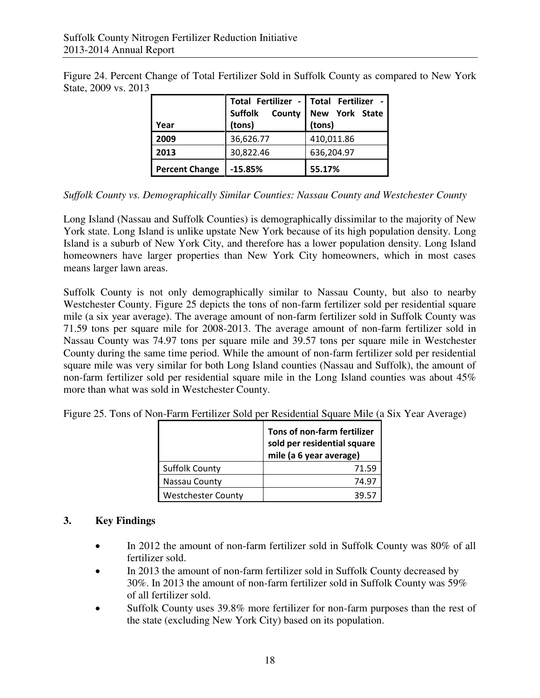|  |                      | Figure 24. Percent Change of Total Fertilizer Sold in Suffolk County as compared to New York |  |  |  |  |  |
|--|----------------------|----------------------------------------------------------------------------------------------|--|--|--|--|--|
|  | State, 2009 vs. 2013 |                                                                                              |  |  |  |  |  |

| Year                  | (tons)    | Total Fertilizer - Total Fertilizer -<br>Suffolk County New York State<br>(tons) |  |  |
|-----------------------|-----------|----------------------------------------------------------------------------------|--|--|
| 2009                  | 36,626.77 | 410,011.86                                                                       |  |  |
| 2013                  | 30,822.46 | 636,204.97                                                                       |  |  |
| <b>Percent Change</b> | $-15.85%$ | 55.17%                                                                           |  |  |

# *Suffolk County vs. Demographically Similar Counties: Nassau County and Westchester County*

Long Island (Nassau and Suffolk Counties) is demographically dissimilar to the majority of New York state. Long Island is unlike upstate New York because of its high population density. Long Island is a suburb of New York City, and therefore has a lower population density. Long Island homeowners have larger properties than New York City homeowners, which in most cases means larger lawn areas.

Suffolk County is not only demographically similar to Nassau County, but also to nearby Westchester County. Figure 25 depicts the tons of non-farm fertilizer sold per residential square mile (a six year average). The average amount of non-farm fertilizer sold in Suffolk County was 71.59 tons per square mile for 2008-2013. The average amount of non-farm fertilizer sold in Nassau County was 74.97 tons per square mile and 39.57 tons per square mile in Westchester County during the same time period. While the amount of non-farm fertilizer sold per residential square mile was very similar for both Long Island counties (Nassau and Suffolk), the amount of non-farm fertilizer sold per residential square mile in the Long Island counties was about 45% more than what was sold in Westchester County.

|                           | Tons of non-farm fertilizer<br>sold per residential square<br>mile (a 6 year average) |  |  |
|---------------------------|---------------------------------------------------------------------------------------|--|--|
| <b>Suffolk County</b>     | 71.59                                                                                 |  |  |
| Nassau County             | 74.97                                                                                 |  |  |
| <b>Westchester County</b> | 39.57                                                                                 |  |  |

Figure 25. Tons of Non-Farm Fertilizer Sold per Residential Square Mile (a Six Year Average)

# **3. Key Findings**

- In 2012 the amount of non-farm fertilizer sold in Suffolk County was 80% of all fertilizer sold.
- In 2013 the amount of non-farm fertilizer sold in Suffolk County decreased by 30%. In 2013 the amount of non-farm fertilizer sold in Suffolk County was 59% of all fertilizer sold.
- Suffolk County uses 39.8% more fertilizer for non-farm purposes than the rest of the state (excluding New York City) based on its population.